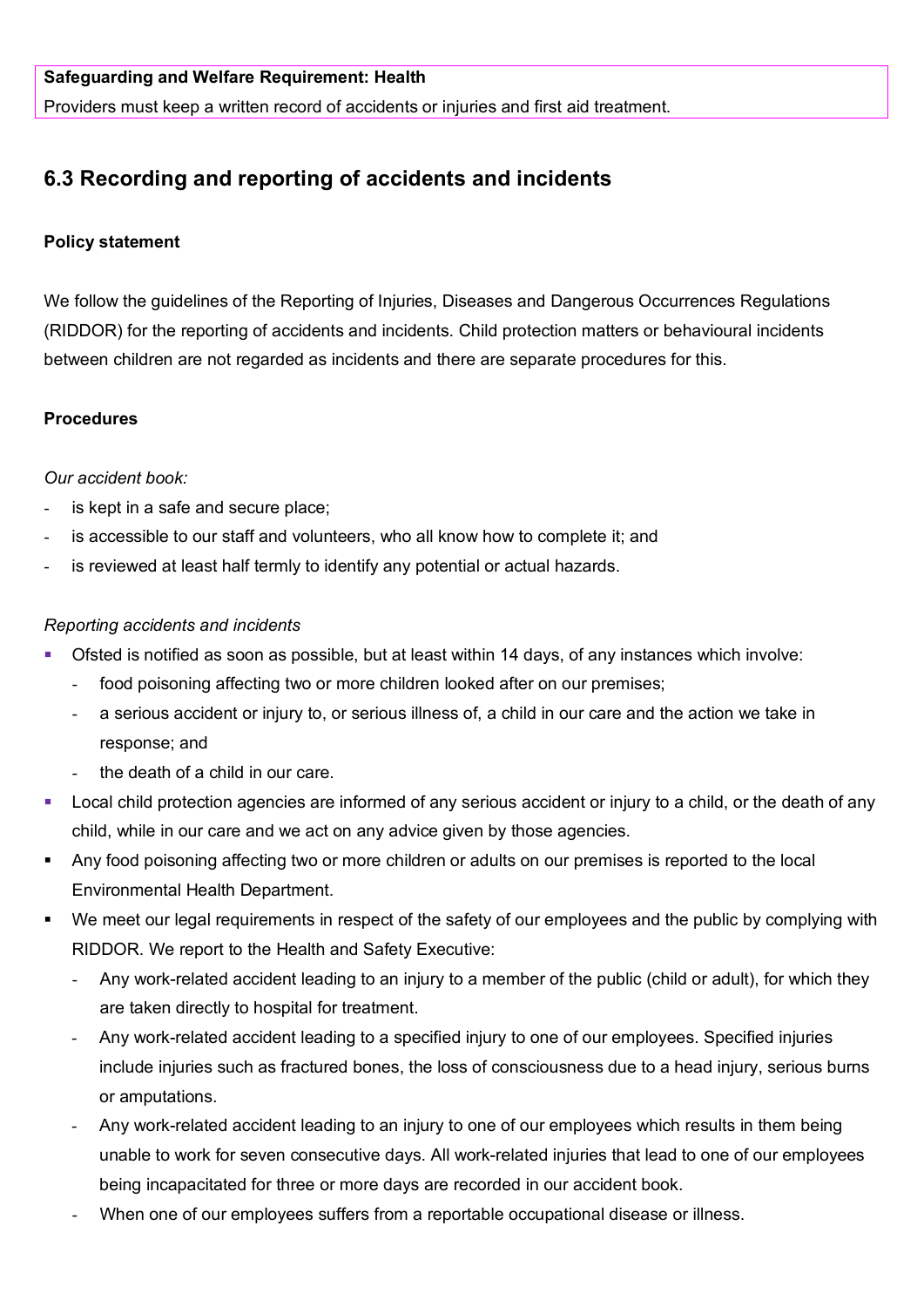Providers must keep a written record of accidents or injuries and first aid treatment.

# **6.3 Recording and reporting of accidents and incidents**

## **Policy statement**

We follow the guidelines of the Reporting of Injuries, Diseases and Dangerous Occurrences Regulations (RIDDOR) for the reporting of accidents and incidents. Child protection matters or behavioural incidents between children are not regarded as incidents and there are separate procedures for this.

## **Procedures**

### *Our accident book:*

- is kept in a safe and secure place;
- is accessible to our staff and volunteers, who all know how to complete it; and
- is reviewed at least half termly to identify any potential or actual hazards.

### *Reporting accidents and incidents*

- Ofsted is notified as soon as possible, but at least within 14 days, of any instances which involve:
	- food poisoning affecting two or more children looked after on our premises;
	- a serious accident or injury to, or serious illness of, a child in our care and the action we take in response; and
	- the death of a child in our care.
- **Local child protection agencies are informed of any serious accident or injury to a child, or the death of any** child, while in our care and we act on any advice given by those agencies.
- Any food poisoning affecting two or more children or adults on our premises is reported to the local Environmental Health Department.
- We meet our legal requirements in respect of the safety of our employees and the public by complying with RIDDOR. We report to the Health and Safety Executive:
	- Any work-related accident leading to an injury to a member of the public (child or adult), for which they are taken directly to hospital for treatment.
	- Any work-related accident leading to a specified injury to one of our employees. Specified injuries include injuries such as fractured bones, the loss of consciousness due to a head injury, serious burns or amputations.
	- Any work-related accident leading to an injury to one of our employees which results in them being unable to work for seven consecutive days. All work-related injuries that lead to one of our employees being incapacitated for three or more days are recorded in our accident book.
	- When one of our employees suffers from a reportable occupational disease or illness.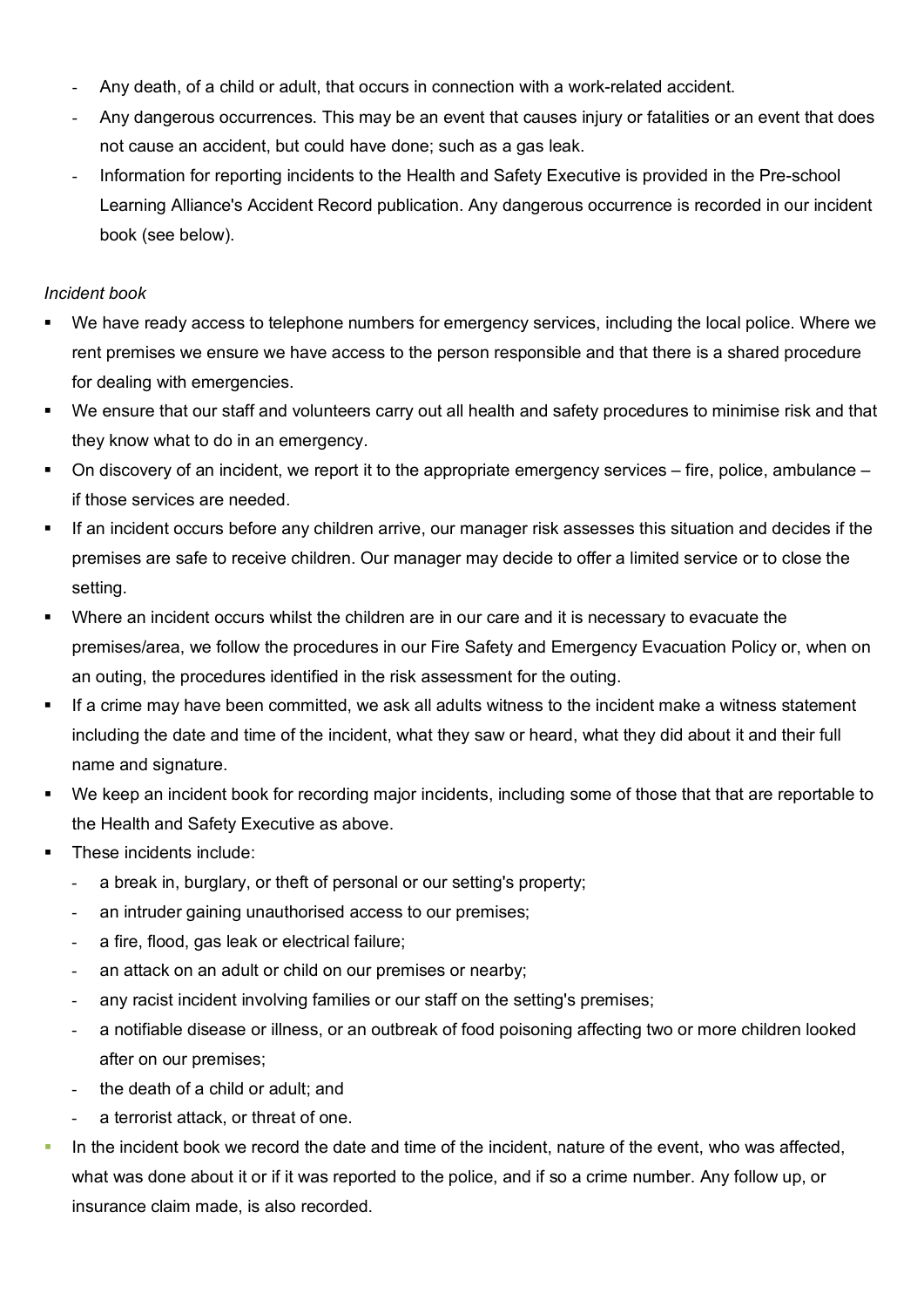- Any death, of a child or adult, that occurs in connection with a work-related accident.
- Any dangerous occurrences. This may be an event that causes injury or fatalities or an event that does not cause an accident, but could have done; such as a gas leak.
- Information for reporting incidents to the Health and Safety Executive is provided in the Pre-school Learning Alliance's Accident Record publication. Any dangerous occurrence is recorded in our incident book (see below).

#### *Incident book*

- We have ready access to telephone numbers for emergency services, including the local police. Where we rent premises we ensure we have access to the person responsible and that there is a shared procedure for dealing with emergencies.
- We ensure that our staff and volunteers carry out all health and safety procedures to minimise risk and that they know what to do in an emergency.
- $\blacksquare$  On discovery of an incident, we report it to the appropriate emergency services fire, police, ambulance if those services are needed.
- If an incident occurs before any children arrive, our manager risk assesses this situation and decides if the premises are safe to receive children. Our manager may decide to offer a limited service or to close the setting.
- Where an incident occurs whilst the children are in our care and it is necessary to evacuate the premises/area, we follow the procedures in our Fire Safety and Emergency Evacuation Policy or, when on an outing, the procedures identified in the risk assessment for the outing.
- If a crime may have been committed, we ask all adults witness to the incident make a witness statement including the date and time of the incident, what they saw or heard, what they did about it and their full name and signature.
- We keep an incident book for recording major incidents, including some of those that that are reportable to the Health and Safety Executive as above.
- These incidents include:
	- a break in, burglary, or theft of personal or our setting's property;
	- an intruder gaining unauthorised access to our premises;
	- a fire, flood, gas leak or electrical failure;
	- an attack on an adult or child on our premises or nearby;
	- any racist incident involving families or our staff on the setting's premises;
	- a notifiable disease or illness, or an outbreak of food poisoning affecting two or more children looked after on our premises;
	- the death of a child or adult; and
	- a terrorist attack, or threat of one.
- In the incident book we record the date and time of the incident, nature of the event, who was affected, what was done about it or if it was reported to the police, and if so a crime number. Any follow up, or insurance claim made, is also recorded.